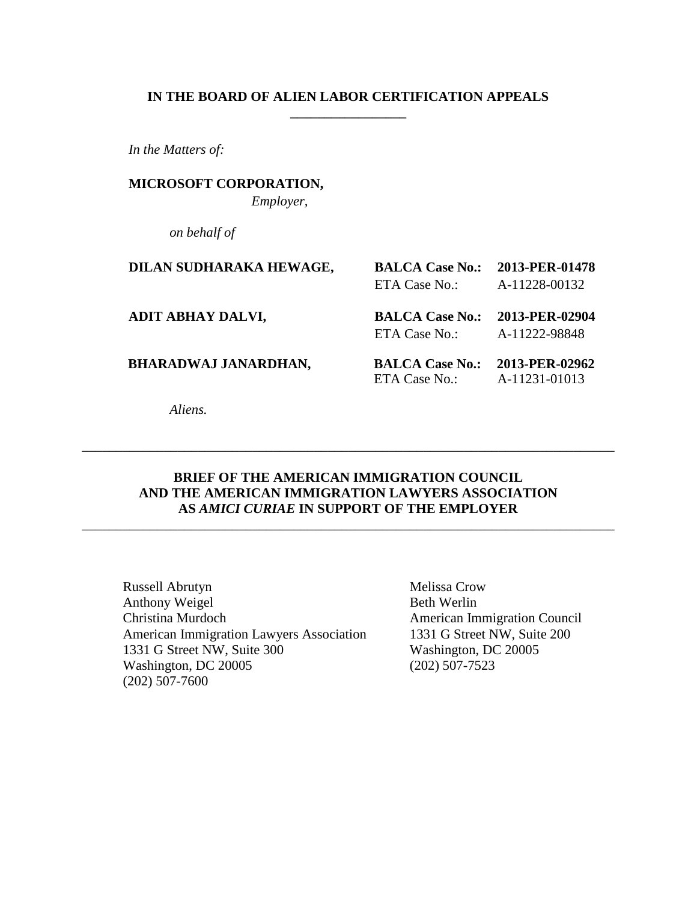### **IN THE BOARD OF ALIEN LABOR CERTIFICATION APPEALS \_\_\_\_\_\_\_\_\_\_\_\_\_\_\_\_\_**

*In the Matters of:*

**MICROSOFT CORPORATION,** *Employer,*

*on behalf of*

| DILAN SUDHARAKA HEWAGE,     | <b>BALCA Case No.:</b><br>ETA Case No.: | 2013-PER-01478<br>A-11228-00132 |
|-----------------------------|-----------------------------------------|---------------------------------|
| ADIT ABHAY DALVI,           | <b>BALCA Case No.:</b><br>ETA Case No.: | 2013-PER-02904<br>A-11222-98848 |
| <b>BHARADWAJ JANARDHAN,</b> | <b>BALCA Case No.:</b><br>ETA Case No.: | 2013-PER-02962<br>A-11231-01013 |

*Aliens.*

## **BRIEF OF THE AMERICAN IMMIGRATION COUNCIL AND THE AMERICAN IMMIGRATION LAWYERS ASSOCIATION AS** *AMICI CURIAE* **IN SUPPORT OF THE EMPLOYER**

\_\_\_\_\_\_\_\_\_\_\_\_\_\_\_\_\_\_\_\_\_\_\_\_\_\_\_\_\_\_\_\_\_\_\_\_\_\_\_\_\_\_\_\_\_\_\_\_\_\_\_\_\_\_\_\_\_\_\_\_\_\_\_\_\_\_\_\_\_\_\_\_\_\_\_\_\_\_

\_\_\_\_\_\_\_\_\_\_\_\_\_\_\_\_\_\_\_\_\_\_\_\_\_\_\_\_\_\_\_\_\_\_\_\_\_\_\_\_\_\_\_\_\_\_\_\_\_\_\_\_\_\_\_\_\_\_\_\_\_\_\_\_\_\_\_\_\_\_\_\_\_\_\_\_\_\_

Russell Abrutyn Melissa Crow Anthony Weigel Beth Werlin Christina Murdoch American Immigration Council American Immigration Lawyers Association 1331 G Street NW, Suite 200 1331 G Street NW, Suite 300 Washington, DC 20005 Washington, DC 20005 (202) 507-7523 (202) 507-7600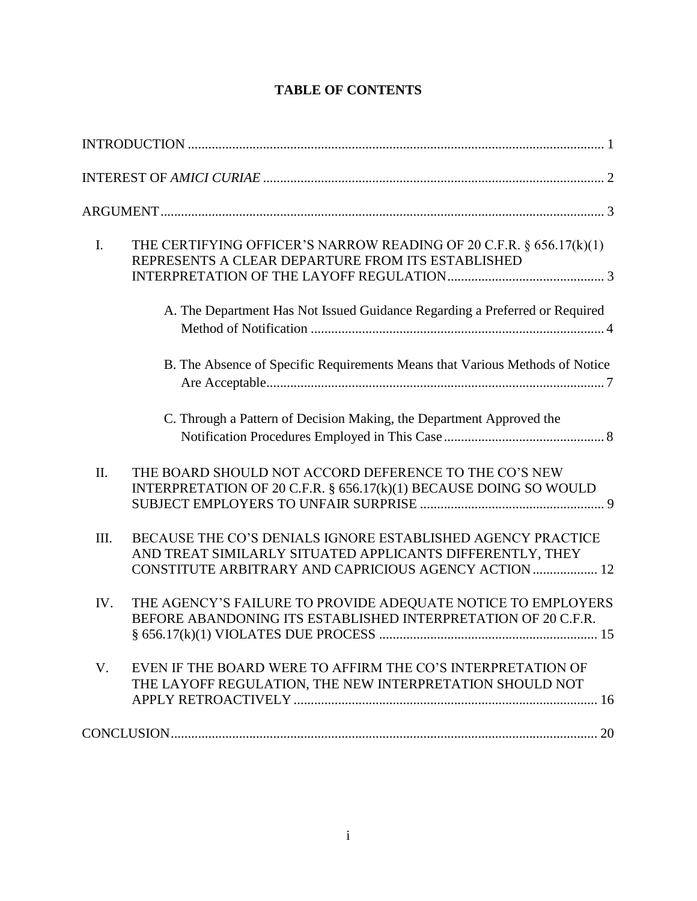|  | <b>TABLE OF CONTENTS</b> |
|--|--------------------------|
|--|--------------------------|

| $\mathbf{I}$ . | THE CERTIFYING OFFICER'S NARROW READING OF 20 C.F.R. § 656.17(k)(1)<br>REPRESENTS A CLEAR DEPARTURE FROM ITS ESTABLISHED                                                          |
|----------------|-----------------------------------------------------------------------------------------------------------------------------------------------------------------------------------|
|                | A. The Department Has Not Issued Guidance Regarding a Preferred or Required                                                                                                       |
|                | B. The Absence of Specific Requirements Means that Various Methods of Notice                                                                                                      |
|                | C. Through a Pattern of Decision Making, the Department Approved the                                                                                                              |
| II.            | THE BOARD SHOULD NOT ACCORD DEFERENCE TO THE CO'S NEW<br>INTERPRETATION OF 20 C.F.R. § 656.17(k)(1) BECAUSE DOING SO WOULD                                                        |
| III.           | BECAUSE THE CO'S DENIALS IGNORE ESTABLISHED AGENCY PRACTICE<br>AND TREAT SIMILARLY SITUATED APPLICANTS DIFFERENTLY, THEY<br>CONSTITUTE ARBITRARY AND CAPRICIOUS AGENCY ACTION  12 |
| IV.            | THE AGENCY'S FAILURE TO PROVIDE ADEQUATE NOTICE TO EMPLOYERS<br>BEFORE ABANDONING ITS ESTABLISHED INTERPRETATION OF 20 C.F.R.                                                     |
| $V_{\cdot}$    | EVEN IF THE BOARD WERE TO AFFIRM THE CO'S INTERPRETATION OF<br>THE LAYOFF REGULATION, THE NEW INTERPRETATION SHOULD NOT                                                           |
|                |                                                                                                                                                                                   |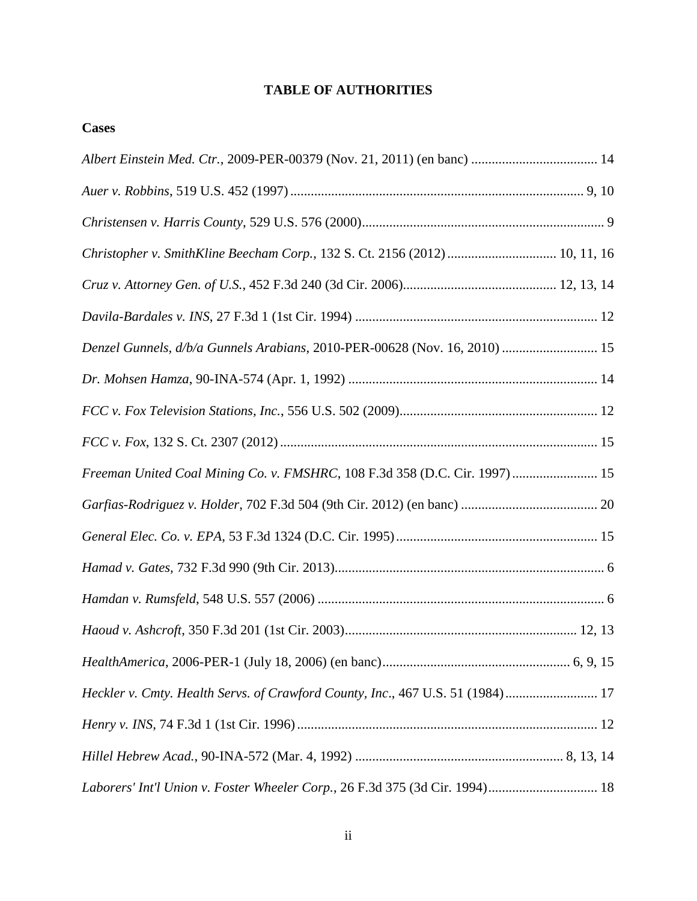## **TABLE OF AUTHORITIES**

| Christopher v. SmithKline Beecham Corp., 132 S. Ct. 2156 (2012)  10, 11, 16    |  |
|--------------------------------------------------------------------------------|--|
|                                                                                |  |
|                                                                                |  |
| Denzel Gunnels, d/b/a Gunnels Arabians, 2010-PER-00628 (Nov. 16, 2010)  15     |  |
|                                                                                |  |
|                                                                                |  |
|                                                                                |  |
| Freeman United Coal Mining Co. v. FMSHRC, 108 F.3d 358 (D.C. Cir. 1997)  15    |  |
|                                                                                |  |
|                                                                                |  |
|                                                                                |  |
|                                                                                |  |
|                                                                                |  |
|                                                                                |  |
| Heckler v. Cmty. Health Servs. of Crawford County, Inc., 467 U.S. 51 (1984) 17 |  |
|                                                                                |  |
|                                                                                |  |
| Laborers' Int'l Union v. Foster Wheeler Corp., 26 F.3d 375 (3d Cir. 1994) 18   |  |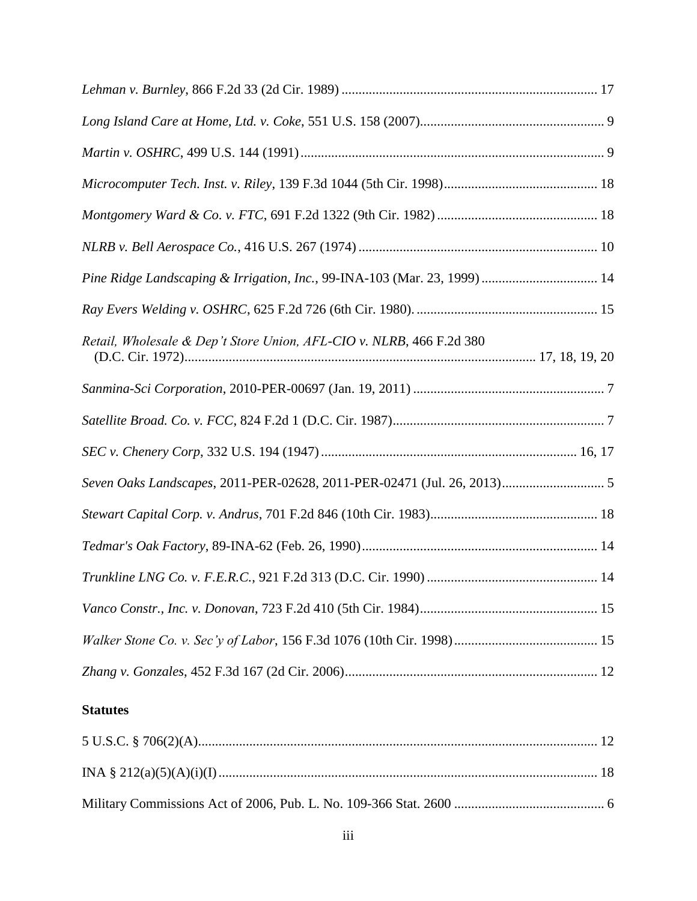| Pine Ridge Landscaping & Irrigation, Inc., 99-INA-103 (Mar. 23, 1999)  14 |  |
|---------------------------------------------------------------------------|--|
|                                                                           |  |
| Retail, Wholesale & Dep't Store Union, AFL-CIO v. NLRB, 466 F.2d 380      |  |
|                                                                           |  |
|                                                                           |  |
|                                                                           |  |
| Seven Oaks Landscapes, 2011-PER-02628, 2011-PER-02471 (Jul. 26, 2013) 5   |  |
|                                                                           |  |
|                                                                           |  |
|                                                                           |  |
|                                                                           |  |
|                                                                           |  |
|                                                                           |  |
| <b>Statutes</b>                                                           |  |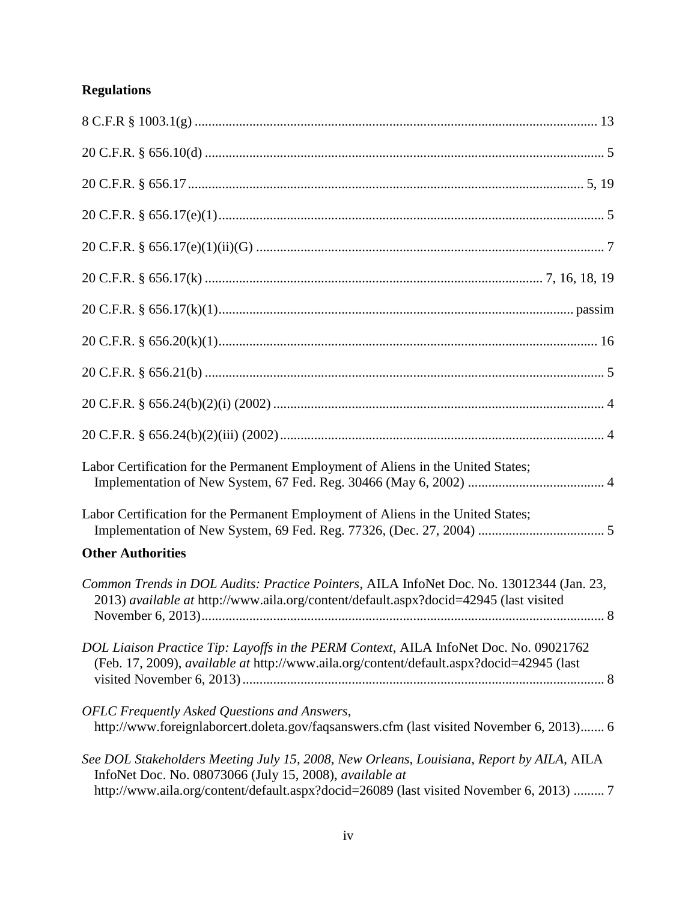# **Regulations**

| Labor Certification for the Permanent Employment of Aliens in the United States;                                                                                                                                                               |
|------------------------------------------------------------------------------------------------------------------------------------------------------------------------------------------------------------------------------------------------|
| Labor Certification for the Permanent Employment of Aliens in the United States;                                                                                                                                                               |
| <b>Other Authorities</b>                                                                                                                                                                                                                       |
| Common Trends in DOL Audits: Practice Pointers, AILA InfoNet Doc. No. 13012344 (Jan. 23,<br>2013) available at http://www.aila.org/content/default.aspx?docid=42945 (last visited                                                              |
| DOL Liaison Practice Tip: Layoffs in the PERM Context, AILA InfoNet Doc. No. 09021762<br>(Feb. 17, 2009), available at http://www.aila.org/content/default.aspx?docid=42945 (last                                                              |
| <b>OFLC</b> Frequently Asked Questions and Answers,<br>http://www.foreignlaborcert.doleta.gov/faqsanswers.cfm (last visited November 6, 2013) 6                                                                                                |
| See DOL Stakeholders Meeting July 15, 2008, New Orleans, Louisiana, Report by AILA, AILA<br>InfoNet Doc. No. 08073066 (July 15, 2008), available at<br>http://www.aila.org/content/default.aspx?docid=26089 (last visited November 6, 2013)  7 |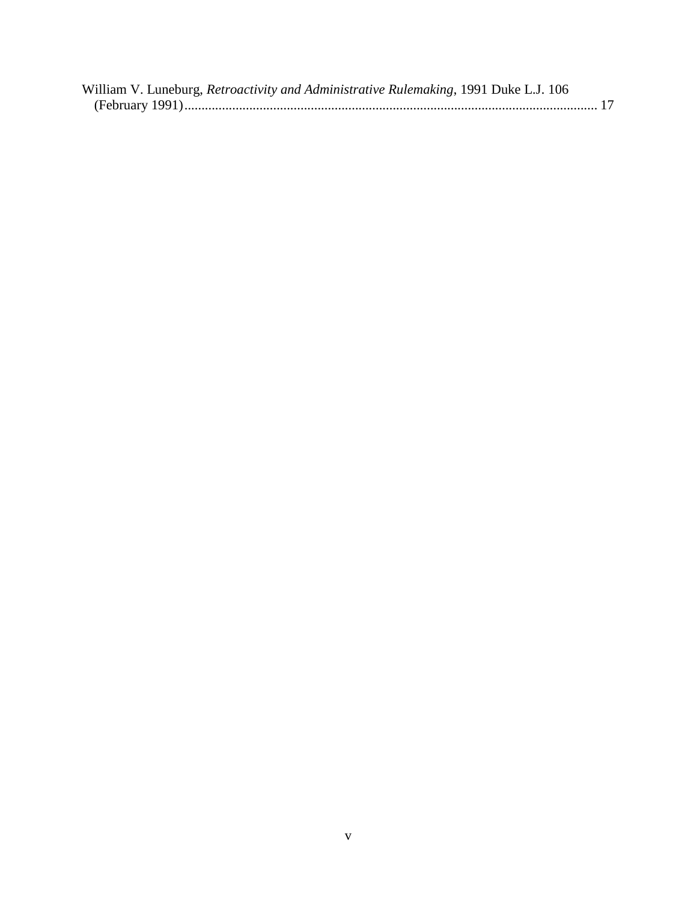| William V. Luneburg, Retroactivity and Administrative Rulemaking, 1991 Duke L.J. 106 |  |
|--------------------------------------------------------------------------------------|--|
|                                                                                      |  |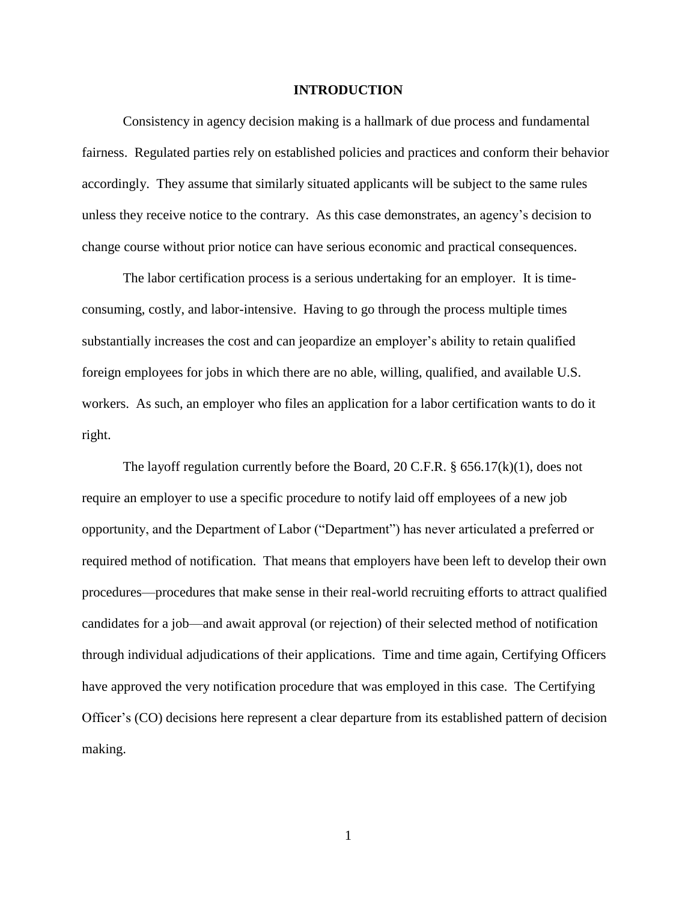#### **INTRODUCTION**

Consistency in agency decision making is a hallmark of due process and fundamental fairness. Regulated parties rely on established policies and practices and conform their behavior accordingly. They assume that similarly situated applicants will be subject to the same rules unless they receive notice to the contrary. As this case demonstrates, an agency's decision to change course without prior notice can have serious economic and practical consequences.

The labor certification process is a serious undertaking for an employer. It is timeconsuming, costly, and labor-intensive. Having to go through the process multiple times substantially increases the cost and can jeopardize an employer's ability to retain qualified foreign employees for jobs in which there are no able, willing, qualified, and available U.S. workers. As such, an employer who files an application for a labor certification wants to do it right.

The layoff regulation currently before the Board, 20 C.F.R. § 656.17(k)(1), does not require an employer to use a specific procedure to notify laid off employees of a new job opportunity, and the Department of Labor ("Department") has never articulated a preferred or required method of notification. That means that employers have been left to develop their own procedures—procedures that make sense in their real-world recruiting efforts to attract qualified candidates for a job—and await approval (or rejection) of their selected method of notification through individual adjudications of their applications. Time and time again, Certifying Officers have approved the very notification procedure that was employed in this case. The Certifying Officer's (CO) decisions here represent a clear departure from its established pattern of decision making.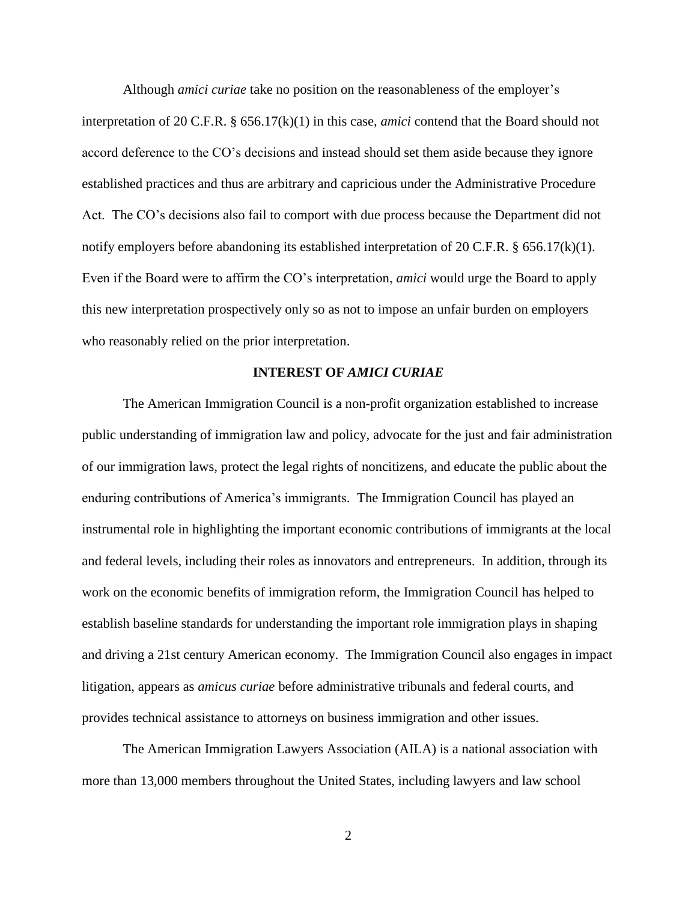Although *amici curiae* take no position on the reasonableness of the employer's interpretation of 20 C.F.R. § 656.17(k)(1) in this case, *amici* contend that the Board should not accord deference to the CO's decisions and instead should set them aside because they ignore established practices and thus are arbitrary and capricious under the Administrative Procedure Act. The CO's decisions also fail to comport with due process because the Department did not notify employers before abandoning its established interpretation of 20 C.F.R. § 656.17(k)(1). Even if the Board were to affirm the CO's interpretation, *amici* would urge the Board to apply this new interpretation prospectively only so as not to impose an unfair burden on employers who reasonably relied on the prior interpretation.

#### **INTEREST OF** *AMICI CURIAE*

The American Immigration Council is a non-profit organization established to increase public understanding of immigration law and policy, advocate for the just and fair administration of our immigration laws, protect the legal rights of noncitizens, and educate the public about the enduring contributions of America's immigrants. The Immigration Council has played an instrumental role in highlighting the important economic contributions of immigrants at the local and federal levels, including their roles as innovators and entrepreneurs. In addition, through its work on the economic benefits of immigration reform, the Immigration Council has helped to establish baseline standards for understanding the important role immigration plays in shaping and driving a 21st century American economy. The Immigration Council also engages in impact litigation, appears as *amicus curiae* before administrative tribunals and federal courts, and provides technical assistance to attorneys on business immigration and other issues.

The American Immigration Lawyers Association (AILA) is a national association with more than 13,000 members throughout the United States, including lawyers and law school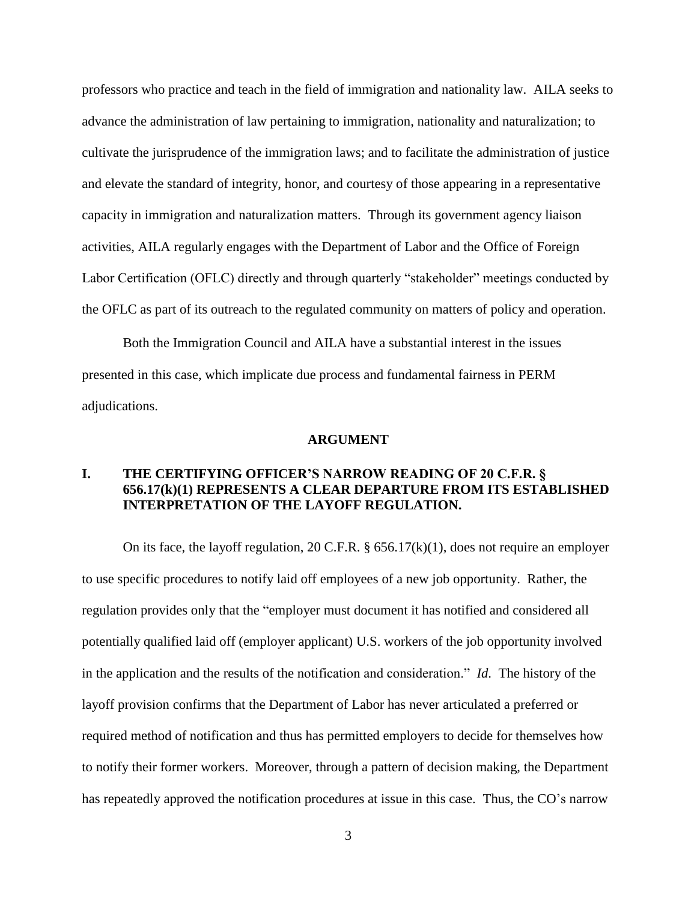professors who practice and teach in the field of immigration and nationality law. AILA seeks to advance the administration of law pertaining to immigration, nationality and naturalization; to cultivate the jurisprudence of the immigration laws; and to facilitate the administration of justice and elevate the standard of integrity, honor, and courtesy of those appearing in a representative capacity in immigration and naturalization matters. Through its government agency liaison activities, AILA regularly engages with the Department of Labor and the Office of Foreign Labor Certification (OFLC) directly and through quarterly "stakeholder" meetings conducted by the OFLC as part of its outreach to the regulated community on matters of policy and operation.

Both the Immigration Council and AILA have a substantial interest in the issues presented in this case, which implicate due process and fundamental fairness in PERM adjudications.

#### **ARGUMENT**

### **I. THE CERTIFYING OFFICER'S NARROW READING OF 20 C.F.R. § 656.17(k)(1) REPRESENTS A CLEAR DEPARTURE FROM ITS ESTABLISHED INTERPRETATION OF THE LAYOFF REGULATION.**

On its face, the layoff regulation, 20 C.F.R.  $\S$  656.17(k)(1), does not require an employer to use specific procedures to notify laid off employees of a new job opportunity. Rather, the regulation provides only that the "employer must document it has notified and considered all potentially qualified laid off (employer applicant) U.S. workers of the job opportunity involved in the application and the results of the notification and consideration." *Id*. The history of the layoff provision confirms that the Department of Labor has never articulated a preferred or required method of notification and thus has permitted employers to decide for themselves how to notify their former workers. Moreover, through a pattern of decision making, the Department has repeatedly approved the notification procedures at issue in this case. Thus, the CO's narrow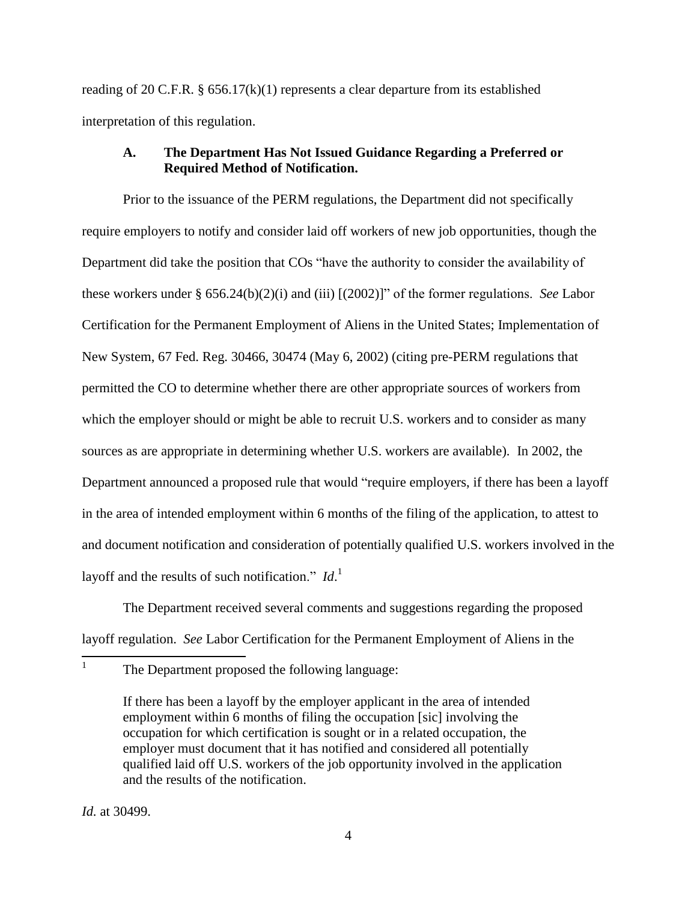reading of 20 C.F.R.  $\S$  656.17(k)(1) represents a clear departure from its established interpretation of this regulation.

### **A. The Department Has Not Issued Guidance Regarding a Preferred or Required Method of Notification.**

Prior to the issuance of the PERM regulations, the Department did not specifically require employers to notify and consider laid off workers of new job opportunities, though the Department did take the position that COs "have the authority to consider the availability of these workers under § 656.24(b)(2)(i) and (iii) [(2002)]" of the former regulations. *See* Labor Certification for the Permanent Employment of Aliens in the United States; Implementation of New System, 67 Fed. Reg. 30466, 30474 (May 6, 2002) (citing pre-PERM regulations that permitted the CO to determine whether there are other appropriate sources of workers from which the employer should or might be able to recruit U.S. workers and to consider as many sources as are appropriate in determining whether U.S. workers are available). In 2002, the Department announced a proposed rule that would "require employers, if there has been a layoff in the area of intended employment within 6 months of the filing of the application, to attest to and document notification and consideration of potentially qualified U.S. workers involved in the layoff and the results of such notification." *Id*. 1

The Department received several comments and suggestions regarding the proposed layoff regulation. *See* Labor Certification for the Permanent Employment of Aliens in the

The Department proposed the following language:

If there has been a layoff by the employer applicant in the area of intended employment within 6 months of filing the occupation [sic] involving the occupation for which certification is sought or in a related occupation, the employer must document that it has notified and considered all potentially qualified laid off U.S. workers of the job opportunity involved in the application and the results of the notification.

*Id.* at 30499.

 $\frac{1}{1}$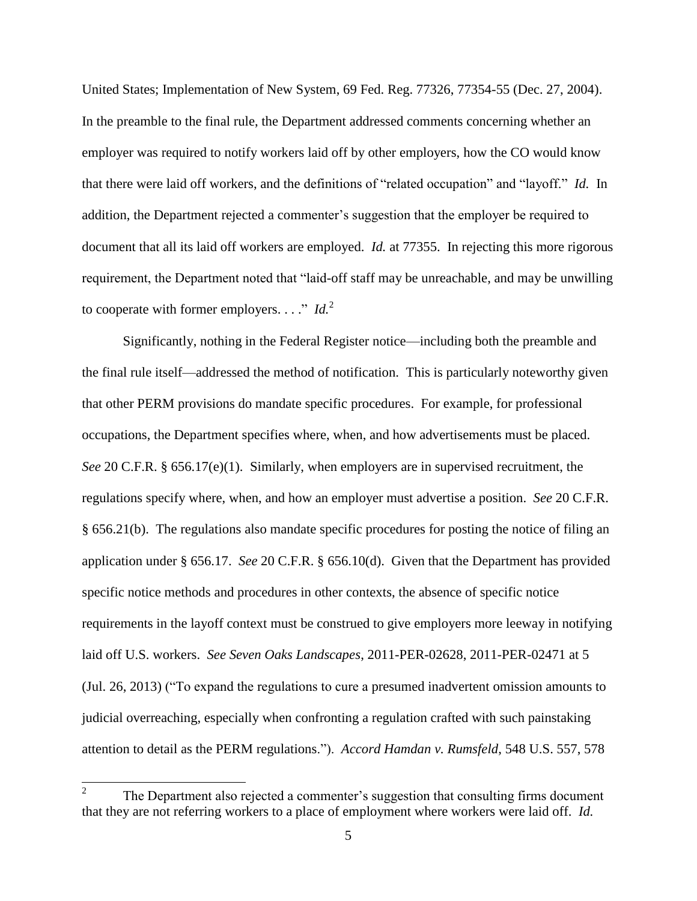United States; Implementation of New System, 69 Fed. Reg. 77326, 77354-55 (Dec. 27, 2004). In the preamble to the final rule, the Department addressed comments concerning whether an employer was required to notify workers laid off by other employers, how the CO would know that there were laid off workers, and the definitions of "related occupation" and "layoff." *Id.* In addition, the Department rejected a commenter's suggestion that the employer be required to document that all its laid off workers are employed. *Id.* at 77355. In rejecting this more rigorous requirement, the Department noted that "laid-off staff may be unreachable, and may be unwilling to cooperate with former employers.  $\ldots$ " *Id.*<sup>2</sup>

Significantly, nothing in the Federal Register notice—including both the preamble and the final rule itself—addressed the method of notification. This is particularly noteworthy given that other PERM provisions do mandate specific procedures. For example, for professional occupations, the Department specifies where, when, and how advertisements must be placed. *See* 20 C.F.R. § 656.17(e)(1). Similarly, when employers are in supervised recruitment, the regulations specify where, when, and how an employer must advertise a position. *See* 20 C.F.R. § 656.21(b). The regulations also mandate specific procedures for posting the notice of filing an application under § 656.17. *See* 20 C.F.R. § 656.10(d). Given that the Department has provided specific notice methods and procedures in other contexts, the absence of specific notice requirements in the layoff context must be construed to give employers more leeway in notifying laid off U.S. workers. *See Seven Oaks Landscapes*, 2011-PER-02628, 2011-PER-02471 at 5 (Jul. 26, 2013) ("To expand the regulations to cure a presumed inadvertent omission amounts to judicial overreaching, especially when confronting a regulation crafted with such painstaking attention to detail as the PERM regulations."). *Accord Hamdan v. Rumsfeld*, 548 U.S. 557, 578

 $\frac{1}{2}$ The Department also rejected a commenter's suggestion that consulting firms document that they are not referring workers to a place of employment where workers were laid off. *Id.*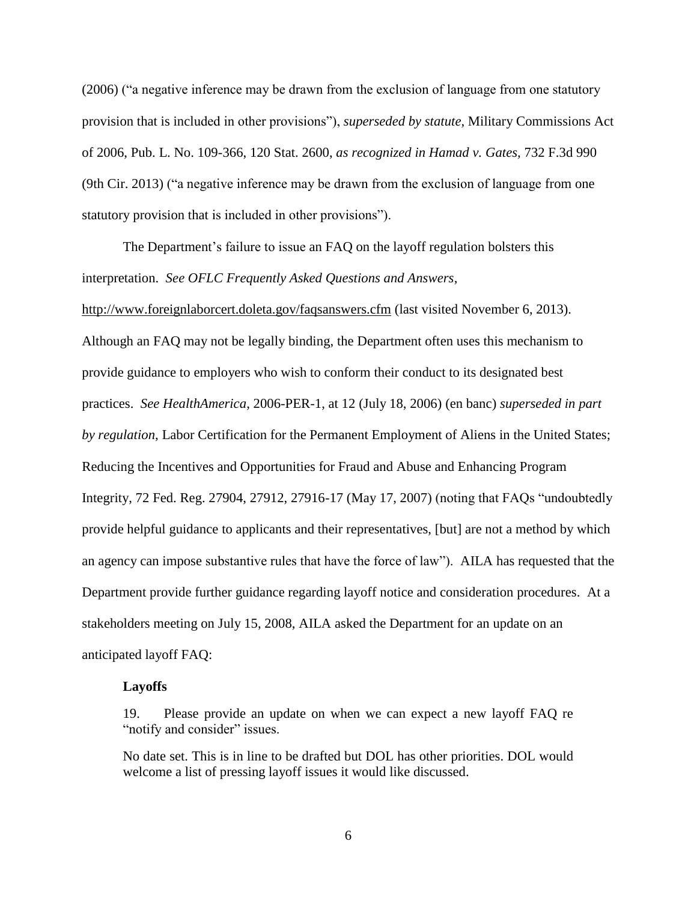(2006) ("a negative inference may be drawn from the exclusion of language from one statutory provision that is included in other provisions"), *superseded by statute,* Military Commissions Act of 2006, Pub. L. No. 109-366, 120 Stat. 2600, *as recognized in Hamad v. Gates,* 732 F.3d 990 (9th Cir. 2013) ("a negative inference may be drawn from the exclusion of language from one statutory provision that is included in other provisions").

The Department's failure to issue an FAQ on the layoff regulation bolsters this interpretation. *See OFLC Frequently Asked Questions and Answers*,

<http://www.foreignlaborcert.doleta.gov/faqsanswers.cfm> (last visited November 6, 2013). Although an FAQ may not be legally binding, the Department often uses this mechanism to provide guidance to employers who wish to conform their conduct to its designated best practices. *See HealthAmerica*, 2006-PER-1, at 12 (July 18, 2006) (en banc) *superseded in part by regulation,* Labor Certification for the Permanent Employment of Aliens in the United States; Reducing the Incentives and Opportunities for Fraud and Abuse and Enhancing Program Integrity, 72 Fed. Reg. 27904, 27912, 27916-17 (May 17, 2007) (noting that FAQs "undoubtedly provide helpful guidance to applicants and their representatives, [but] are not a method by which an agency can impose substantive rules that have the force of law"). AILA has requested that the Department provide further guidance regarding layoff notice and consideration procedures. At a stakeholders meeting on July 15, 2008, AILA asked the Department for an update on an anticipated layoff FAQ:

#### **Layoffs**

19. Please provide an update on when we can expect a new layoff FAQ re "notify and consider" issues.

No date set. This is in line to be drafted but DOL has other priorities. DOL would welcome a list of pressing layoff issues it would like discussed.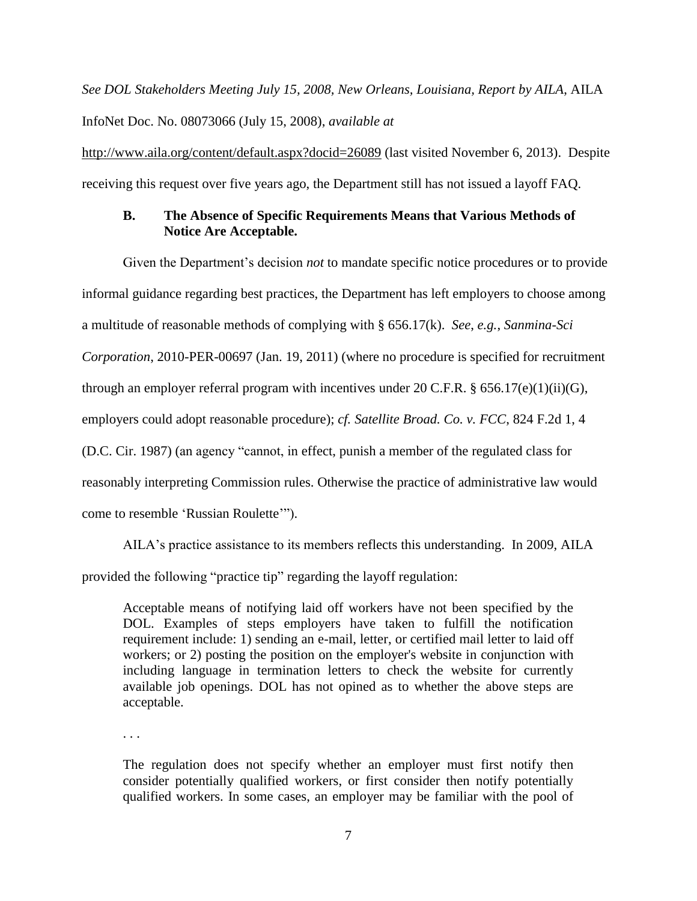*See DOL Stakeholders Meeting July 15, 2008, New Orleans, Louisiana, Report by AILA*, AILA InfoNet Doc. No. 08073066 (July 15, 2008), *available at*

<http://www.aila.org/content/default.aspx?docid=26089> (last visited November 6, 2013). Despite receiving this request over five years ago, the Department still has not issued a layoff FAQ.

### **B. The Absence of Specific Requirements Means that Various Methods of Notice Are Acceptable.**

Given the Department's decision *not* to mandate specific notice procedures or to provide informal guidance regarding best practices, the Department has left employers to choose among a multitude of reasonable methods of complying with § 656.17(k). *See*, *e.g.*, *Sanmina-Sci Corporation*, 2010-PER-00697 (Jan. 19, 2011) (where no procedure is specified for recruitment through an employer referral program with incentives under 20 C.F.R.  $\S$  656.17(e)(1)(ii)(G), employers could adopt reasonable procedure); *cf. Satellite Broad. Co. v. FCC*, 824 F.2d 1, 4 (D.C. Cir. 1987) (an agency "cannot, in effect, punish a member of the regulated class for reasonably interpreting Commission rules. Otherwise the practice of administrative law would come to resemble 'Russian Roulette'").

AILA's practice assistance to its members reflects this understanding. In 2009, AILA

provided the following "practice tip" regarding the layoff regulation:

Acceptable means of notifying laid off workers have not been specified by the DOL. Examples of steps employers have taken to fulfill the notification requirement include: 1) sending an e-mail, letter, or certified mail letter to laid off workers; or 2) posting the position on the employer's website in conjunction with including language in termination letters to check the website for currently available job openings. DOL has not opined as to whether the above steps are acceptable.

. . .

The regulation does not specify whether an employer must first notify then consider potentially qualified workers, or first consider then notify potentially qualified workers. In some cases, an employer may be familiar with the pool of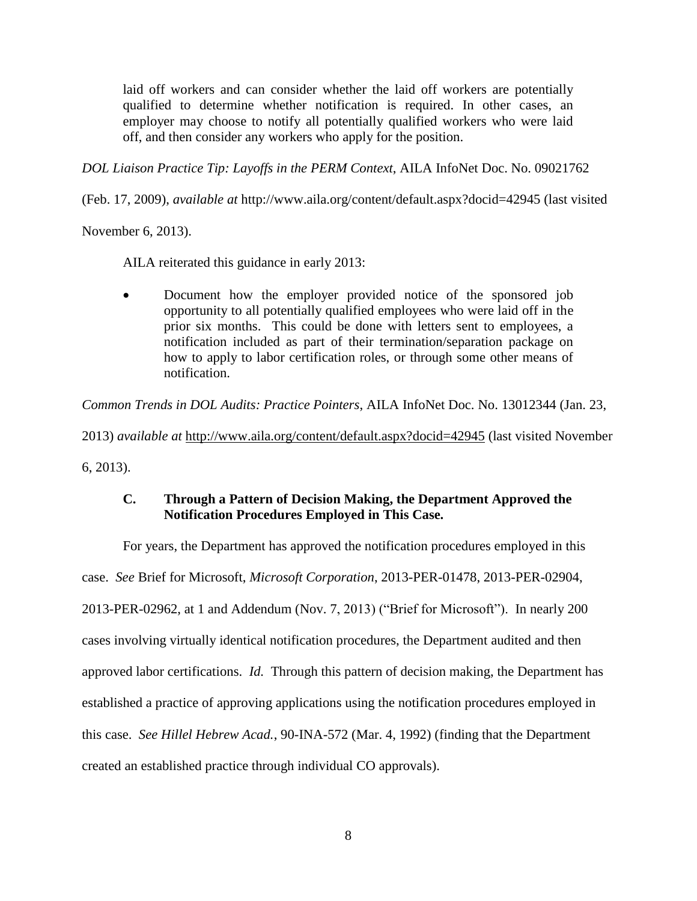laid off workers and can consider whether the laid off workers are potentially qualified to determine whether notification is required. In other cases, an employer may choose to notify all potentially qualified workers who were laid off, and then consider any workers who apply for the position.

*DOL Liaison Practice Tip: Layoffs in the PERM Context*, AILA InfoNet Doc. No. 09021762

(Feb. 17, 2009), *available at* http://www.aila.org/content/default.aspx?docid=42945 (last visited

November 6, 2013).

AILA reiterated this guidance in early 2013:

• Document how the employer provided notice of the sponsored job opportunity to all potentially qualified employees who were laid off in the prior six months. This could be done with letters sent to employees, a notification included as part of their termination/separation package on how to apply to labor certification roles, or through some other means of notification.

*Common Trends in DOL Audits: Practice Pointers*, AILA InfoNet Doc. No. 13012344 (Jan. 23,

2013) *available at* <http://www.aila.org/content/default.aspx?docid=42945> (last visited November 6, 2013).

## **C. Through a Pattern of Decision Making, the Department Approved the Notification Procedures Employed in This Case.**

For years, the Department has approved the notification procedures employed in this case. *See* Brief for Microsoft, *Microsoft Corporation*, 2013-PER-01478, 2013-PER-02904, 2013-PER-02962, at 1 and Addendum (Nov. 7, 2013) ("Brief for Microsoft"). In nearly 200 cases involving virtually identical notification procedures, the Department audited and then approved labor certifications. *Id.* Through this pattern of decision making, the Department has established a practice of approving applications using the notification procedures employed in this case. *See Hillel Hebrew Acad.*, 90-INA-572 (Mar. 4, 1992) (finding that the Department created an established practice through individual CO approvals).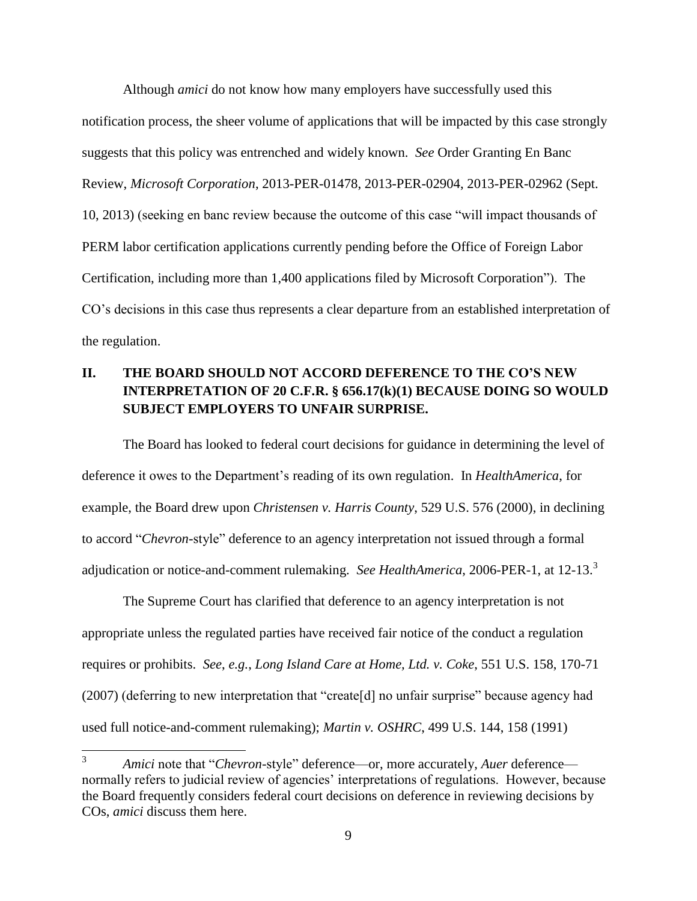Although *amici* do not know how many employers have successfully used this notification process, the sheer volume of applications that will be impacted by this case strongly suggests that this policy was entrenched and widely known. *See* Order Granting En Banc Review, *Microsoft Corporation*, 2013-PER-01478, 2013-PER-02904, 2013-PER-02962 (Sept. 10, 2013) (seeking en banc review because the outcome of this case "will impact thousands of PERM labor certification applications currently pending before the Office of Foreign Labor Certification, including more than 1,400 applications filed by Microsoft Corporation"). The CO's decisions in this case thus represents a clear departure from an established interpretation of the regulation.

## **II. THE BOARD SHOULD NOT ACCORD DEFERENCE TO THE CO'S NEW INTERPRETATION OF 20 C.F.R. § 656.17(k)(1) BECAUSE DOING SO WOULD SUBJECT EMPLOYERS TO UNFAIR SURPRISE.**

The Board has looked to federal court decisions for guidance in determining the level of deference it owes to the Department's reading of its own regulation. In *HealthAmerica*, for example, the Board drew upon *Christensen v. Harris County*, 529 U.S. 576 (2000), in declining to accord "*Chevron*-style" deference to an agency interpretation not issued through a formal adjudication or notice-and-comment rulemaking. *See HealthAmerica*, 2006-PER-1, at 12-13. 3

The Supreme Court has clarified that deference to an agency interpretation is not appropriate unless the regulated parties have received fair notice of the conduct a regulation requires or prohibits. *See*, *e.g.*, *Long Island Care at Home, Ltd. v. Coke*, 551 U.S. 158, 170-71 (2007) (deferring to new interpretation that "create[d] no unfair surprise" because agency had used full notice-and-comment rulemaking); *Martin v. OSHRC*, 499 U.S. 144, 158 (1991)

 $\overline{a}$ 

<sup>3</sup> *Amici* note that "*Chevron*-style" deference—or, more accurately, *Auer* deference normally refers to judicial review of agencies' interpretations of regulations. However, because the Board frequently considers federal court decisions on deference in reviewing decisions by COs, *amici* discuss them here.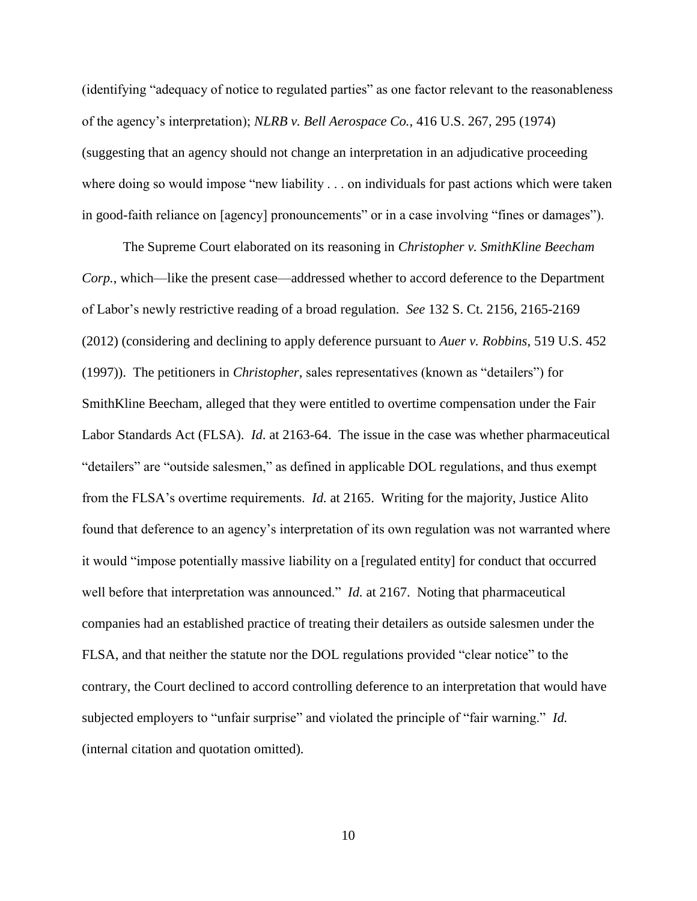(identifying "adequacy of notice to regulated parties" as one factor relevant to the reasonableness of the agency's interpretation); *NLRB v. Bell Aerospace Co.*, 416 U.S. 267, 295 (1974) (suggesting that an agency should not change an interpretation in an adjudicative proceeding where doing so would impose "new liability . . . on individuals for past actions which were taken in good-faith reliance on [agency] pronouncements" or in a case involving "fines or damages").

The Supreme Court elaborated on its reasoning in *Christopher v. SmithKline Beecham Corp.*, which—like the present case—addressed whether to accord deference to the Department of Labor's newly restrictive reading of a broad regulation. *See* 132 S. Ct. 2156, 2165-2169 (2012) (considering and declining to apply deference pursuant to *Auer v. Robbins*, 519 U.S. 452 (1997)). The petitioners in *Christopher*, sales representatives (known as "detailers") for SmithKline Beecham, alleged that they were entitled to overtime compensation under the Fair Labor Standards Act (FLSA). *Id*. at 2163-64. The issue in the case was whether pharmaceutical "detailers" are "outside salesmen," as defined in applicable DOL regulations, and thus exempt from the FLSA's overtime requirements. *Id.* at 2165. Writing for the majority, Justice Alito found that deference to an agency's interpretation of its own regulation was not warranted where it would "impose potentially massive liability on a [regulated entity] for conduct that occurred well before that interpretation was announced." *Id.* at 2167. Noting that pharmaceutical companies had an established practice of treating their detailers as outside salesmen under the FLSA, and that neither the statute nor the DOL regulations provided "clear notice" to the contrary, the Court declined to accord controlling deference to an interpretation that would have subjected employers to "unfair surprise" and violated the principle of "fair warning." *Id.* (internal citation and quotation omitted).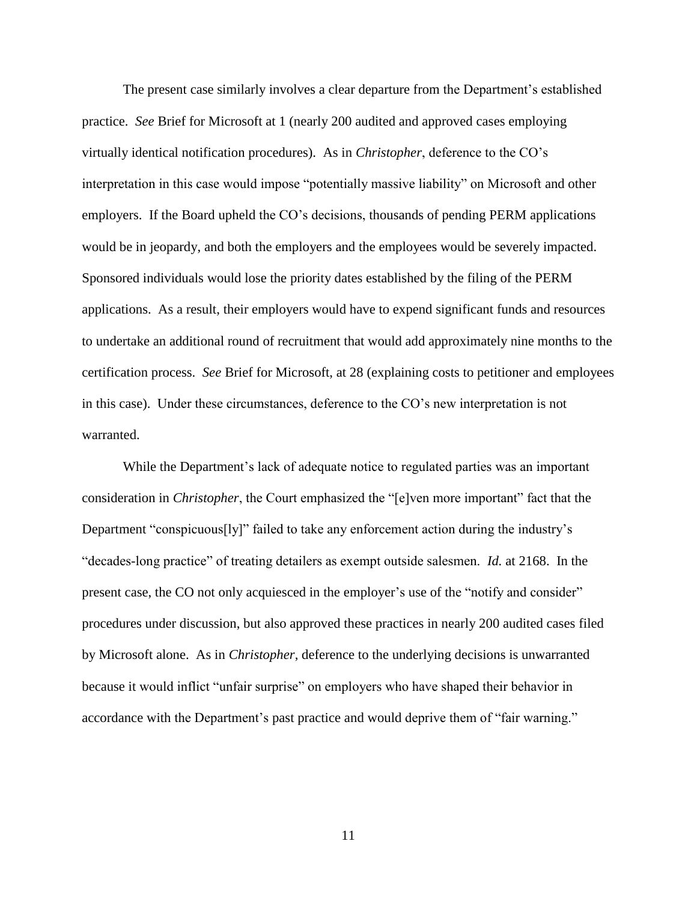The present case similarly involves a clear departure from the Department's established practice. *See* Brief for Microsoft at 1 (nearly 200 audited and approved cases employing virtually identical notification procedures). As in *Christopher*, deference to the CO's interpretation in this case would impose "potentially massive liability" on Microsoft and other employers. If the Board upheld the CO's decisions, thousands of pending PERM applications would be in jeopardy, and both the employers and the employees would be severely impacted. Sponsored individuals would lose the priority dates established by the filing of the PERM applications. As a result, their employers would have to expend significant funds and resources to undertake an additional round of recruitment that would add approximately nine months to the certification process. *See* Brief for Microsoft, at 28 (explaining costs to petitioner and employees in this case). Under these circumstances, deference to the CO's new interpretation is not warranted.

While the Department's lack of adequate notice to regulated parties was an important consideration in *Christopher*, the Court emphasized the "[e]ven more important" fact that the Department "conspicuous[ly]" failed to take any enforcement action during the industry's "decades-long practice" of treating detailers as exempt outside salesmen. *Id.* at 2168. In the present case, the CO not only acquiesced in the employer's use of the "notify and consider" procedures under discussion, but also approved these practices in nearly 200 audited cases filed by Microsoft alone. As in *Christopher*, deference to the underlying decisions is unwarranted because it would inflict "unfair surprise" on employers who have shaped their behavior in accordance with the Department's past practice and would deprive them of "fair warning."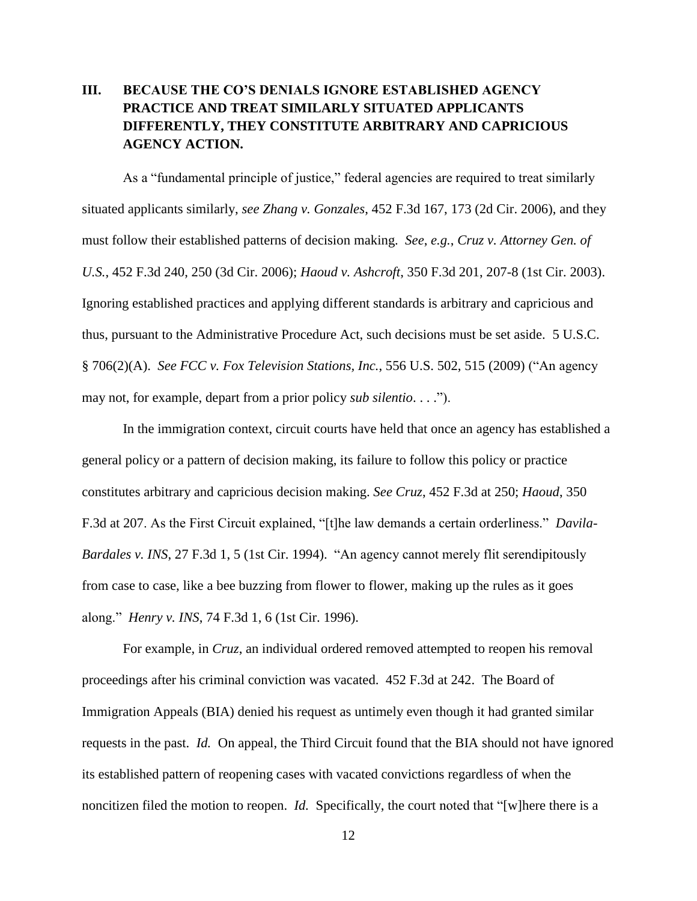## **III. BECAUSE THE CO'S DENIALS IGNORE ESTABLISHED AGENCY PRACTICE AND TREAT SIMILARLY SITUATED APPLICANTS DIFFERENTLY, THEY CONSTITUTE ARBITRARY AND CAPRICIOUS AGENCY ACTION.**

As a "fundamental principle of justice," federal agencies are required to treat similarly situated applicants similarly, *see Zhang v. Gonzales*, 452 F.3d 167, 173 (2d Cir. 2006), and they must follow their established patterns of decision making. *See*, *e.g.*, *Cruz v. Attorney Gen. of U.S.*, 452 F.3d 240, 250 (3d Cir. 2006); *Haoud v. Ashcroft*, 350 F.3d 201, 207-8 (1st Cir. 2003). Ignoring established practices and applying different standards is arbitrary and capricious and thus, pursuant to the Administrative Procedure Act, such decisions must be set aside. 5 U.S.C. § 706(2)(A). *See FCC v. Fox Television Stations, Inc.*, 556 U.S. 502, 515 (2009) ("An agency may not, for example, depart from a prior policy *sub silentio*. . . .").

In the immigration context, circuit courts have held that once an agency has established a general policy or a pattern of decision making, its failure to follow this policy or practice constitutes arbitrary and capricious decision making. *See Cruz*, 452 F.3d at 250; *Haoud*, 350 F.3d at 207. As the First Circuit explained, "[t]he law demands a certain orderliness." *Davila-Bardales v. INS*, 27 F.3d 1, 5 (1st Cir. 1994). "An agency cannot merely flit serendipitously from case to case, like a bee buzzing from flower to flower, making up the rules as it goes along." *Henry v. INS*, 74 F.3d 1, 6 (1st Cir. 1996).

For example, in *Cruz*, an individual ordered removed attempted to reopen his removal proceedings after his criminal conviction was vacated. 452 F.3d at 242. The Board of Immigration Appeals (BIA) denied his request as untimely even though it had granted similar requests in the past. *Id.* On appeal, the Third Circuit found that the BIA should not have ignored its established pattern of reopening cases with vacated convictions regardless of when the noncitizen filed the motion to reopen. *Id.* Specifically, the court noted that "[w]here there is a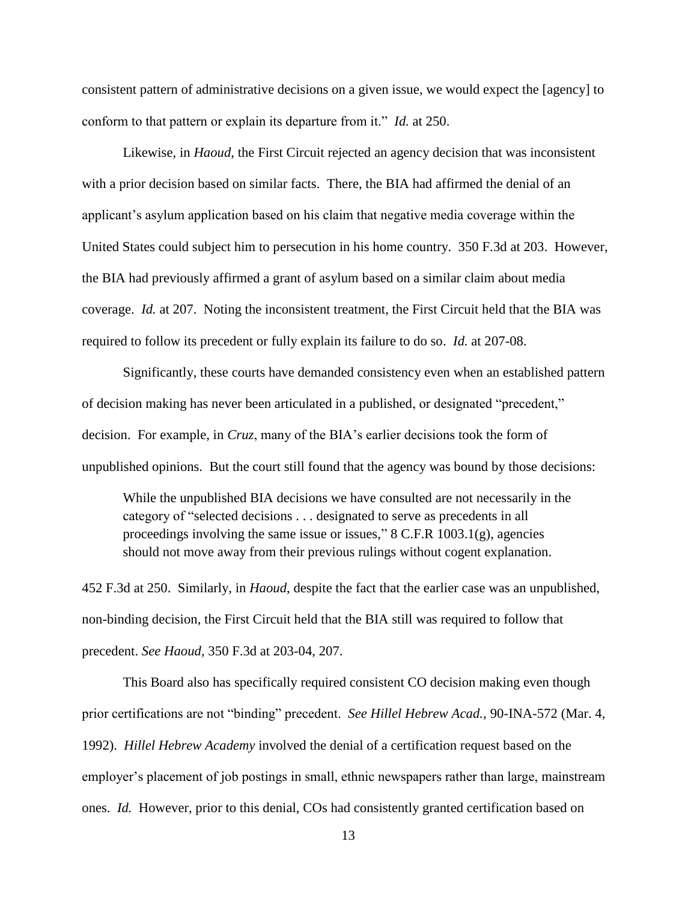consistent pattern of administrative decisions on a given issue, we would expect the [agency] to conform to that pattern or explain its departure from it." *Id.* at 250.

Likewise, in *Haoud*, the First Circuit rejected an agency decision that was inconsistent with a prior decision based on similar facts. There, the BIA had affirmed the denial of an applicant's asylum application based on his claim that negative media coverage within the United States could subject him to persecution in his home country. 350 F.3d at 203. However, the BIA had previously affirmed a grant of asylum based on a similar claim about media coverage. *Id.* at 207. Noting the inconsistent treatment, the First Circuit held that the BIA was required to follow its precedent or fully explain its failure to do so. *Id.* at 207-08.

Significantly, these courts have demanded consistency even when an established pattern of decision making has never been articulated in a published, or designated "precedent," decision. For example, in *Cruz*, many of the BIA's earlier decisions took the form of unpublished opinions. But the court still found that the agency was bound by those decisions:

While the unpublished BIA decisions we have consulted are not necessarily in the category of "selected decisions . . . designated to serve as precedents in all proceedings involving the same issue or issues,"  $8$  C.F.R 1003.1(g), agencies should not move away from their previous rulings without cogent explanation.

452 F.3d at 250. Similarly, in *Haoud*, despite the fact that the earlier case was an unpublished, non-binding decision, the First Circuit held that the BIA still was required to follow that precedent. *See Haoud*, 350 F.3d at 203-04, 207.

This Board also has specifically required consistent CO decision making even though prior certifications are not "binding" precedent. *See Hillel Hebrew Acad.*, 90-INA-572 (Mar. 4, 1992). *Hillel Hebrew Academy* involved the denial of a certification request based on the employer's placement of job postings in small, ethnic newspapers rather than large, mainstream ones. *Id.* However, prior to this denial, COs had consistently granted certification based on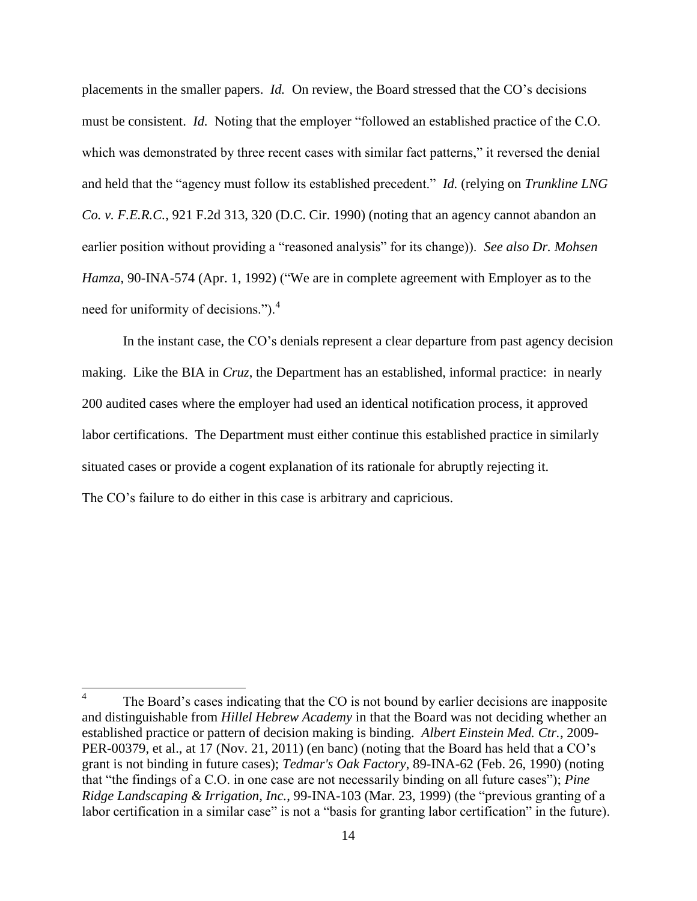placements in the smaller papers. *Id.* On review, the Board stressed that the CO's decisions must be consistent. *Id.* Noting that the employer "followed an established practice of the C.O. which was demonstrated by three recent cases with similar fact patterns," it reversed the denial and held that the "agency must follow its established precedent." *Id.* (relying on *Trunkline LNG Co. v. F.E.R.C.*, 921 F.2d 313, 320 (D.C. Cir. 1990) (noting that an agency cannot abandon an earlier position without providing a "reasoned analysis" for its change)). *See also Dr. Mohsen Hamza*, 90-INA-574 (Apr. 1, 1992) ("We are in complete agreement with Employer as to the need for uniformity of decisions."). $4$ 

In the instant case, the CO's denials represent a clear departure from past agency decision making. Like the BIA in *Cruz*, the Department has an established, informal practice: in nearly 200 audited cases where the employer had used an identical notification process, it approved labor certifications. The Department must either continue this established practice in similarly situated cases or provide a cogent explanation of its rationale for abruptly rejecting it. The CO's failure to do either in this case is arbitrary and capricious.

<sup>&</sup>lt;sup>4</sup> The Board's cases indicating that the CO is not bound by earlier decisions are inapposite and distinguishable from *Hillel Hebrew Academy* in that the Board was not deciding whether an established practice or pattern of decision making is binding. *Albert Einstein Med. Ctr.*, 2009- PER-00379, et al., at 17 (Nov. 21, 2011) (en banc) (noting that the Board has held that a CO's grant is not binding in future cases); *Tedmar's Oak Factory*, 89-INA-62 (Feb. 26, 1990) (noting that "the findings of a C.O. in one case are not necessarily binding on all future cases"); *Pine Ridge Landscaping & Irrigation, Inc.*, 99-INA-103 (Mar. 23, 1999) (the "previous granting of a labor certification in a similar case" is not a "basis for granting labor certification" in the future).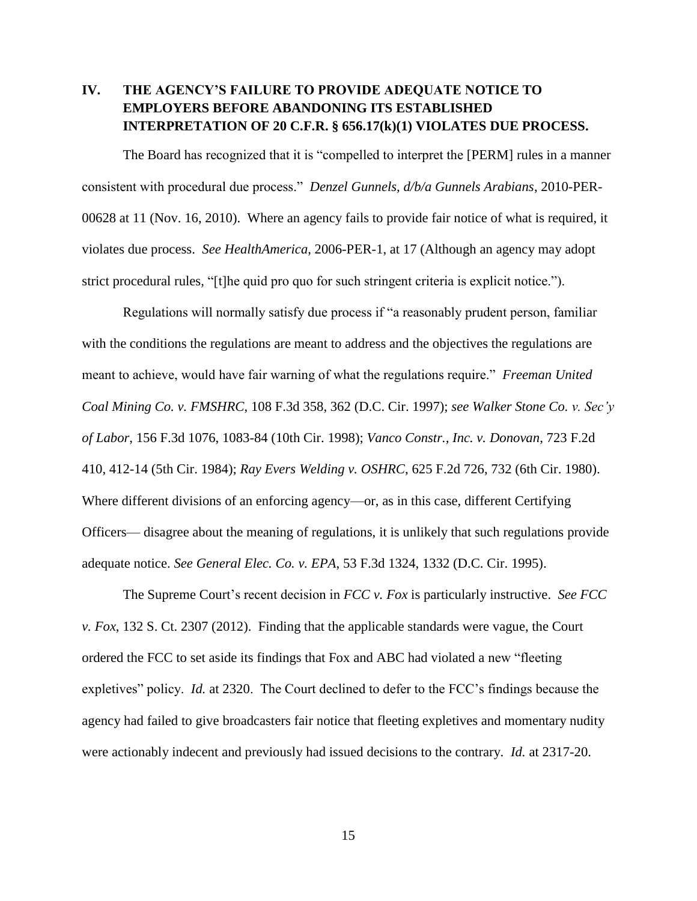## **IV. THE AGENCY'S FAILURE TO PROVIDE ADEQUATE NOTICE TO EMPLOYERS BEFORE ABANDONING ITS ESTABLISHED INTERPRETATION OF 20 C.F.R. § 656.17(k)(1) VIOLATES DUE PROCESS.**

The Board has recognized that it is "compelled to interpret the [PERM] rules in a manner consistent with procedural due process." *Denzel Gunnels, d/b/a Gunnels Arabians*, 2010-PER-00628 at 11 (Nov. 16, 2010). Where an agency fails to provide fair notice of what is required, it violates due process. *See HealthAmerica*, 2006-PER-1, at 17 (Although an agency may adopt strict procedural rules, "[t]he quid pro quo for such stringent criteria is explicit notice.").

Regulations will normally satisfy due process if "a reasonably prudent person, familiar with the conditions the regulations are meant to address and the objectives the regulations are meant to achieve, would have fair warning of what the regulations require." *Freeman United Coal Mining Co. v. FMSHRC*, 108 F.3d 358, 362 (D.C. Cir. 1997); *see Walker Stone Co. v. Sec'y of Labor*, 156 F.3d 1076, 1083-84 (10th Cir. 1998); *Vanco Constr., Inc. v. Donovan*, 723 F.2d 410, 412-14 (5th Cir. 1984); *Ray Evers Welding v. OSHRC*, 625 F.2d 726, 732 (6th Cir. 1980). Where different divisions of an enforcing agency—or, as in this case, different Certifying Officers— disagree about the meaning of regulations, it is unlikely that such regulations provide adequate notice. *See General Elec. Co. v. EPA*, 53 F.3d 1324, 1332 (D.C. Cir. 1995).

The Supreme Court's recent decision in *FCC v. Fox* is particularly instructive. *See FCC v. Fox*, 132 S. Ct. 2307 (2012). Finding that the applicable standards were vague, the Court ordered the FCC to set aside its findings that Fox and ABC had violated a new "fleeting expletives" policy. *Id.* at 2320. The Court declined to defer to the FCC's findings because the agency had failed to give broadcasters fair notice that fleeting expletives and momentary nudity were actionably indecent and previously had issued decisions to the contrary. *Id.* at 2317-20.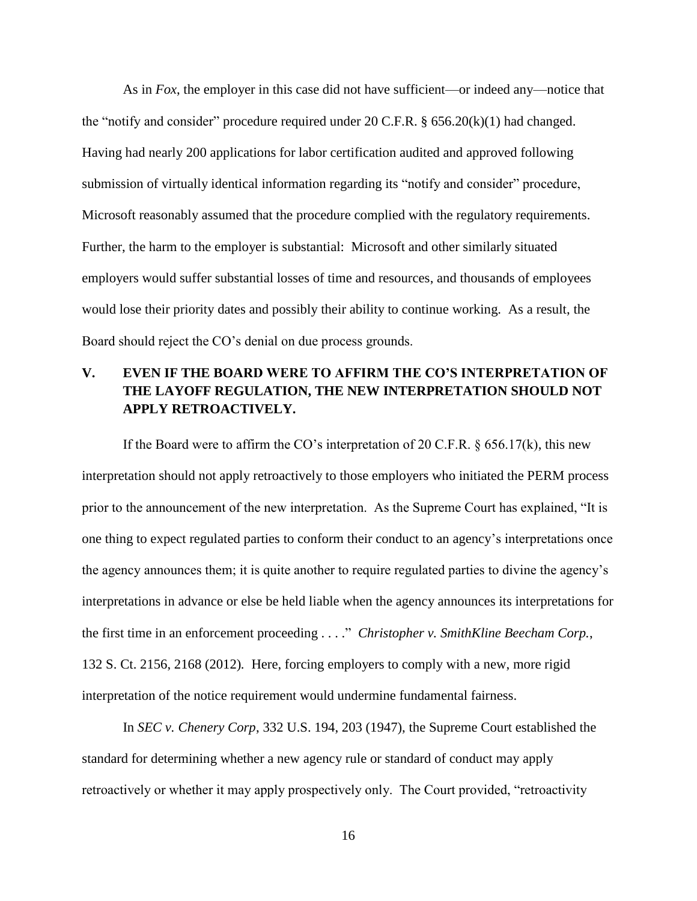As in *Fox*, the employer in this case did not have sufficient—or indeed any—notice that the "notify and consider" procedure required under 20 C.F.R.  $\S$  656.20(k)(1) had changed. Having had nearly 200 applications for labor certification audited and approved following submission of virtually identical information regarding its "notify and consider" procedure, Microsoft reasonably assumed that the procedure complied with the regulatory requirements. Further, the harm to the employer is substantial: Microsoft and other similarly situated employers would suffer substantial losses of time and resources, and thousands of employees would lose their priority dates and possibly their ability to continue working. As a result, the Board should reject the CO's denial on due process grounds.

## **V. EVEN IF THE BOARD WERE TO AFFIRM THE CO'S INTERPRETATION OF THE LAYOFF REGULATION, THE NEW INTERPRETATION SHOULD NOT APPLY RETROACTIVELY.**

If the Board were to affirm the CO's interpretation of 20 C.F.R.  $\S$  656.17(k), this new interpretation should not apply retroactively to those employers who initiated the PERM process prior to the announcement of the new interpretation. As the Supreme Court has explained, "It is one thing to expect regulated parties to conform their conduct to an agency's interpretations once the agency announces them; it is quite another to require regulated parties to divine the agency's interpretations in advance or else be held liable when the agency announces its interpretations for the first time in an enforcement proceeding . . . ." *Christopher v. SmithKline Beecham Corp.*, 132 S. Ct. 2156, 2168 (2012)*.* Here, forcing employers to comply with a new, more rigid interpretation of the notice requirement would undermine fundamental fairness.

In *SEC v. Chenery Corp*, 332 U.S. 194, 203 (1947), the Supreme Court established the standard for determining whether a new agency rule or standard of conduct may apply retroactively or whether it may apply prospectively only. The Court provided, "retroactivity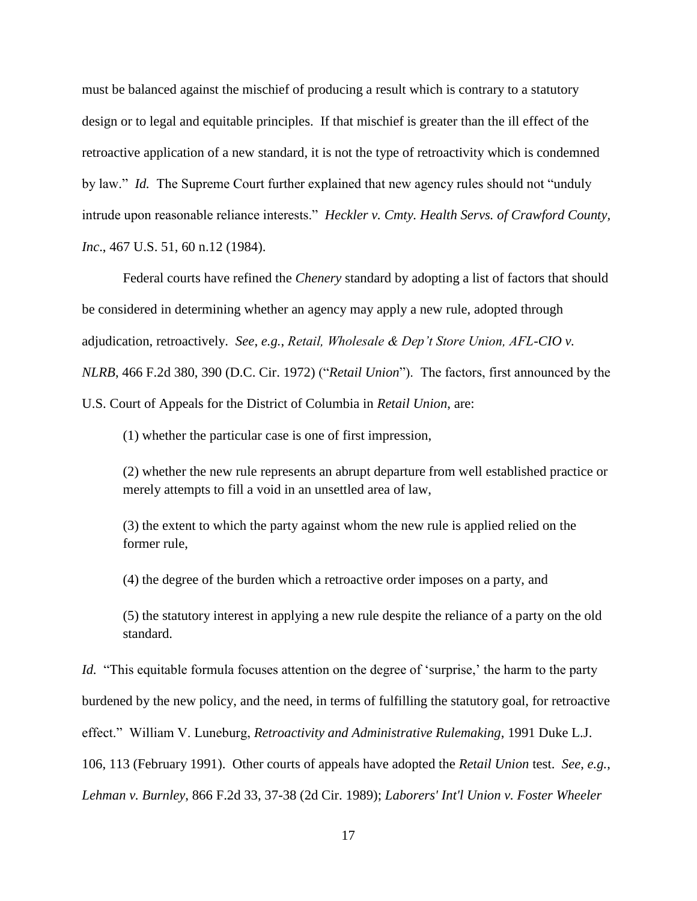must be balanced against the mischief of producing a result which is contrary to a statutory design or to legal and equitable principles. If that mischief is greater than the ill effect of the retroactive application of a new standard, it is not the type of retroactivity which is condemned by law." *Id.* The Supreme Court further explained that new agency rules should not "unduly intrude upon reasonable reliance interests." *Heckler v. Cmty. Health Servs. of Crawford County, Inc*., 467 U.S. 51, 60 n.12 (1984).

Federal courts have refined the *Chenery* standard by adopting a list of factors that should be considered in determining whether an agency may apply a new rule, adopted through adjudication, retroactively. *See*, *e.g.*, *Retail, Wholesale & Dep't Store Union, AFL-CIO v. NLRB*, 466 F.2d 380, 390 (D.C. Cir. 1972) ("*Retail Union*"). The factors, first announced by the U.S. Court of Appeals for the District of Columbia in *Retail Union*, are:

(1) whether the particular case is one of first impression,

(2) whether the new rule represents an abrupt departure from well established practice or merely attempts to fill a void in an unsettled area of law,

(3) the extent to which the party against whom the new rule is applied relied on the former rule,

(4) the degree of the burden which a retroactive order imposes on a party, and

(5) the statutory interest in applying a new rule despite the reliance of a party on the old standard.

*Id.* "This equitable formula focuses attention on the degree of 'surprise,' the harm to the party burdened by the new policy, and the need, in terms of fulfilling the statutory goal, for retroactive effect." William V. Luneburg, *Retroactivity and Administrative Rulemaking*, 1991 Duke L.J. 106, 113 (February 1991). Other courts of appeals have adopted the *Retail Union* test. *See*, *e.g.*, *Lehman v. Burnley*, 866 F.2d 33, 37-38 (2d Cir. 1989); *Laborers' Int'l Union v. Foster Wheeler*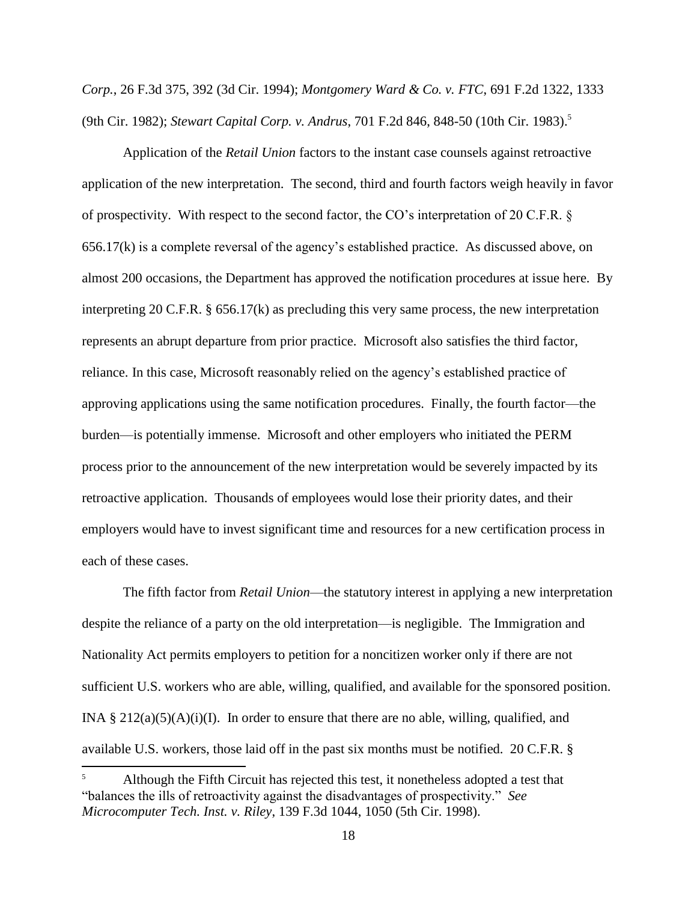*Corp.*, 26 F.3d 375, 392 (3d Cir. 1994); *Montgomery Ward & Co. v. FTC*, 691 F.2d 1322, 1333 (9th Cir. 1982); *Stewart Capital Corp. v. Andrus*, 701 F.2d 846, 848-50 (10th Cir. 1983). 5

Application of the *Retail Union* factors to the instant case counsels against retroactive application of the new interpretation. The second, third and fourth factors weigh heavily in favor of prospectivity. With respect to the second factor, the CO's interpretation of 20 C.F.R. § 656.17(k) is a complete reversal of the agency's established practice. As discussed above, on almost 200 occasions, the Department has approved the notification procedures at issue here. By interpreting 20 C.F.R. § 656.17(k) as precluding this very same process, the new interpretation represents an abrupt departure from prior practice. Microsoft also satisfies the third factor, reliance. In this case, Microsoft reasonably relied on the agency's established practice of approving applications using the same notification procedures. Finally, the fourth factor—the burden—is potentially immense. Microsoft and other employers who initiated the PERM process prior to the announcement of the new interpretation would be severely impacted by its retroactive application. Thousands of employees would lose their priority dates, and their employers would have to invest significant time and resources for a new certification process in each of these cases.

The fifth factor from *Retail Union*—the statutory interest in applying a new interpretation despite the reliance of a party on the old interpretation—is negligible. The Immigration and Nationality Act permits employers to petition for a noncitizen worker only if there are not sufficient U.S. workers who are able, willing, qualified, and available for the sponsored position. INA § 212(a)(5)(A)(i)(I). In order to ensure that there are no able, willing, qualified, and available U.S. workers, those laid off in the past six months must be notified. 20 C.F.R. §

 $\overline{a}$ 

<sup>5</sup> Although the Fifth Circuit has rejected this test, it nonetheless adopted a test that "balances the ills of retroactivity against the disadvantages of prospectivity." *See Microcomputer Tech. Inst. v. Riley*, 139 F.3d 1044, 1050 (5th Cir. 1998).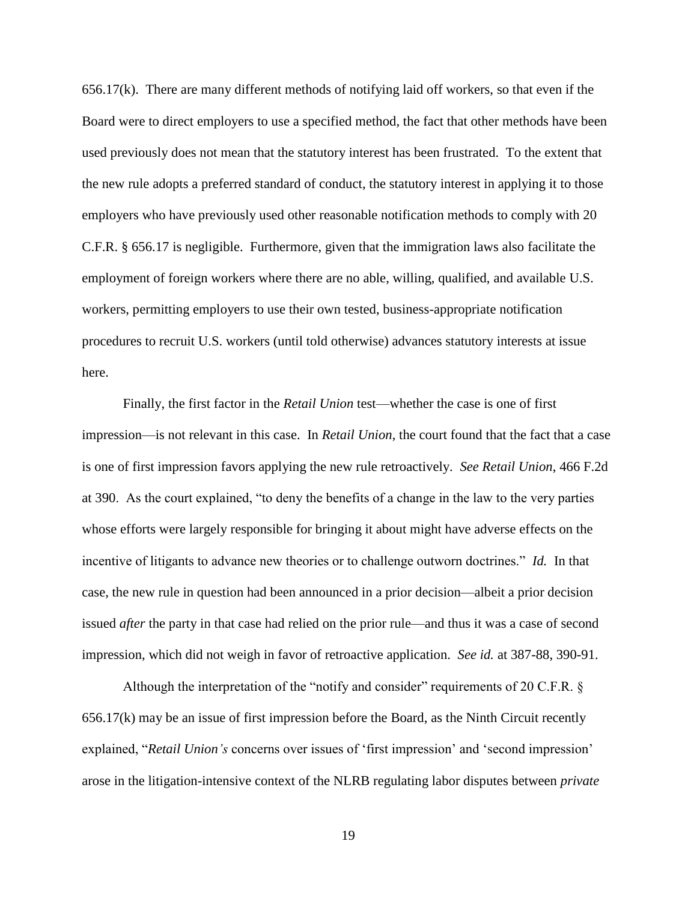656.17(k). There are many different methods of notifying laid off workers, so that even if the Board were to direct employers to use a specified method, the fact that other methods have been used previously does not mean that the statutory interest has been frustrated. To the extent that the new rule adopts a preferred standard of conduct, the statutory interest in applying it to those employers who have previously used other reasonable notification methods to comply with 20 C.F.R. § 656.17 is negligible. Furthermore, given that the immigration laws also facilitate the employment of foreign workers where there are no able, willing, qualified, and available U.S. workers, permitting employers to use their own tested, business-appropriate notification procedures to recruit U.S. workers (until told otherwise) advances statutory interests at issue here.

Finally, the first factor in the *Retail Union* test—whether the case is one of first impression—is not relevant in this case. In *Retail Union*, the court found that the fact that a case is one of first impression favors applying the new rule retroactively. *See Retail Union*, 466 F.2d at 390. As the court explained, "to deny the benefits of a change in the law to the very parties whose efforts were largely responsible for bringing it about might have adverse effects on the incentive of litigants to advance new theories or to challenge outworn doctrines." *Id.* In that case, the new rule in question had been announced in a prior decision—albeit a prior decision issued *after* the party in that case had relied on the prior rule—and thus it was a case of second impression, which did not weigh in favor of retroactive application. *See id.* at 387-88, 390-91.

Although the interpretation of the "notify and consider" requirements of 20 C.F.R. § 656.17(k) may be an issue of first impression before the Board, as the Ninth Circuit recently explained, "*Retail Union's* concerns over issues of 'first impression' and 'second impression' arose in the litigation-intensive context of the NLRB regulating labor disputes between *private*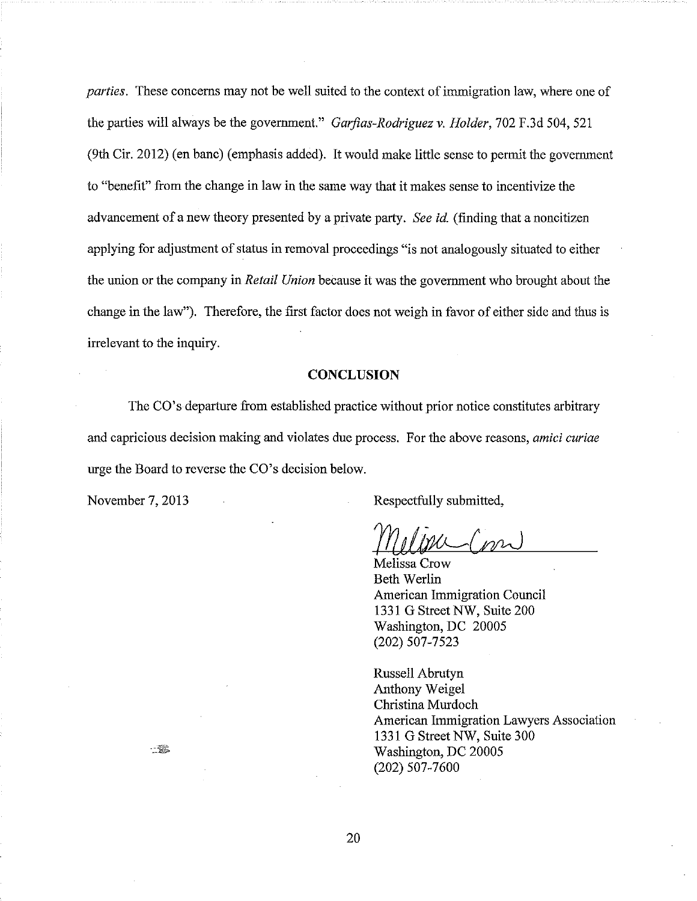*parties.* These concerns may not be well suited to the context of immigration law, where one of the parties will always be the government." Garfias-Rodriguez v. Holder, 702 F.3d 504, 521 (9th Cir. 2012) (en banc) (emphasis added). It would make little sense to permit the government to "benefit" from the change in law in the same way that it makes sense to incentivize the advancement of a new theory presented by a private party. See id. (finding that a noncitizen applying for adjustment of status in removal proceedings "is not analogously situated to either the union or the company in Retail Union because it was the government who brought about the change in the law"). Therefore, the first factor does not weigh in favor of either side and thus is irrelevant to the inquiry.

#### **CONCLUSION**

The CO's departure from established practice without prior notice constitutes arbitrary and capricious decision making and violates due process. For the above reasons, amici curiae urge the Board to reverse the CO's decision below.

November 7, 2013

一樂。

Respectfully submitted,

 $m_{\lambda}$ 

Melissa Crow **Beth Werlin American Immigration Council** 1331 G Street NW, Suite 200 Washington, DC 20005 (202) 507-7523

Russell Abrutyn Anthony Weigel Christina Murdoch American Immigration Lawyers Association 1331 G Street NW, Suite 300 Washington, DC 20005  $(202)$  507-7600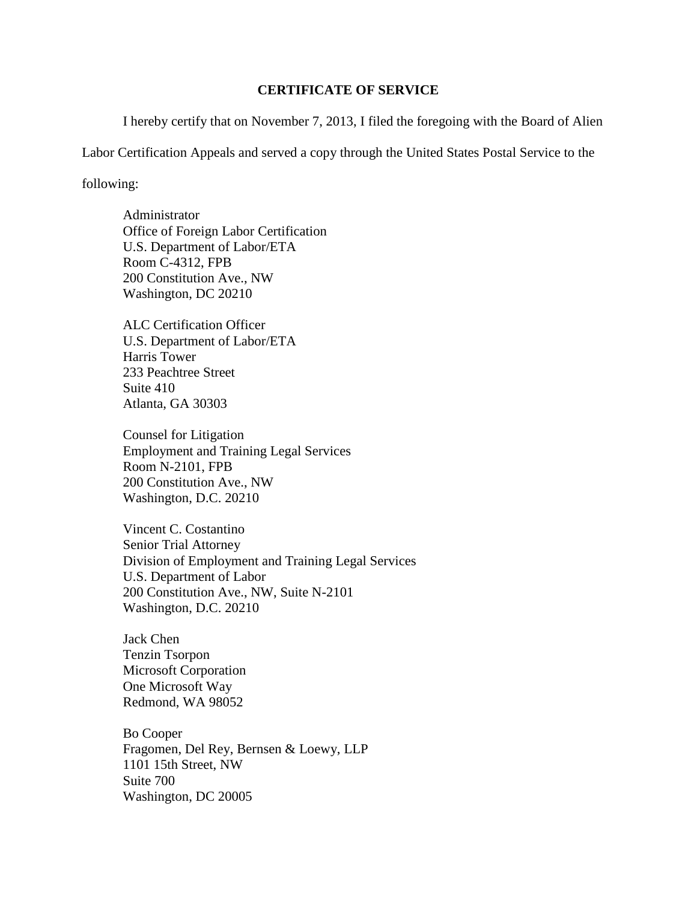### **CERTIFICATE OF SERVICE**

I hereby certify that on November 7, 2013, I filed the foregoing with the Board of Alien

Labor Certification Appeals and served a copy through the United States Postal Service to the

following:

Administrator Office of Foreign Labor Certification U.S. Department of Labor/ETA Room C-4312, FPB 200 Constitution Ave., NW Washington, DC 20210

ALC Certification Officer U.S. Department of Labor/ETA Harris Tower 233 Peachtree Street Suite 410 Atlanta, GA 30303

Counsel for Litigation Employment and Training Legal Services Room N-2101, FPB 200 Constitution Ave., NW Washington, D.C. 20210

Vincent C. Costantino Senior Trial Attorney Division of Employment and Training Legal Services U.S. Department of Labor 200 Constitution Ave., NW, Suite N-2101 Washington, D.C. 20210

Jack Chen Tenzin Tsorpon Microsoft Corporation One Microsoft Way Redmond, WA 98052

Bo Cooper Fragomen, Del Rey, Bernsen & Loewy, LLP 1101 15th Street, NW Suite 700 Washington, DC 20005